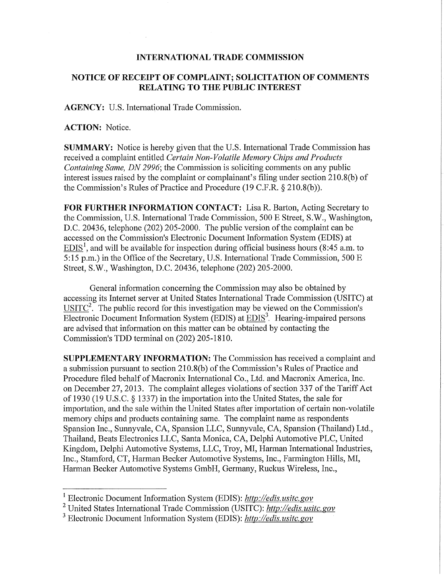## **INTERNATIONAL TRADE COMMISSION**

## **NOTICE OF RECEIPT OF COMPLAINT; SOLICITATION OF COMMENTS RELATING TO THE PUBLIC INTEREST**

**AGENCY:** U.S. International Trade Commission.

## **ACTION:** Notice.

**SUMMARY:** Notice is hereby given that the U.S. International Trade Commission has received a complaint entitled *Certain Non-Volatile Memory Chips and Products Containing Same, DN 2996;* the Commission is soliciting comments on any public interest issues raised by the complaint or complainant's filing under section 210.8(b) of the Commission's Rules of Practice and Procedure (19 C.F.R. § 210.8(b)).

FOR FURTHER INFORMATION CONTACT: Lisa R. Barton, Acting Secretary to the Commission, U.S. International Trade Commission, 500 E Street, S.W., Washington, D.C. 20436, telephone (202) 205-2000. The public version of the complaint can be accessed on the Commission's Electronic Document Information System (EDIS) at  $EDIS<sup>1</sup>$ , and will be available for inspection during official business hours (8:45 a.m. to 5:15 p.m.) in the Office of the Secretary, U.S. International Trade Commission, 500 E Street, S.W., Washington, D.C. 20436, telephone (202) 205-2000.

General information concerning the Commission may also be obtained by accessing its Internet server at United States International Trade Commission (USITC) at  $USITC<sup>2</sup>$ . The public record for this investigation may be viewed on the Commission's</u> Electronic Document Information System (EDIS) at  $EDIS<sup>3</sup>$ . Hearing-impaired persons are advised that information on this matter can be obtained by contacting the Commission's TDD terminal on (202) 205-1810.

**SUPPLEMENTARY INFORMATION:** The Commission has received a complaint and a submission pursuant to section 210.8(b) of the Commission's Rules of Practice and Procedure filed behalf of Macronix International Co., Ltd. and Macronix America, Inc. on December 27, 2013. The complaint alleges violations of section 337 of the Tariff Act of 1930 (19 U.S.C. § 1337) in the importation into the United States, the sale for importation, and the sale within the United States after importation of certain non-volatile memory chips and products containing same. The complaint name as respondents Spansion Inc., Sunnyvale, CA, Spansion LLC, Sunnyvale, CA, Spansion (Thailand) Ltd., Thailand, Beats Electronics LLC, Santa Monica, CA, Delphi Automotive PLC, United Kingdom, Delphi Automotive Systems, LLC, Troy, MI, Harman International Industries, Inc., Stamford, CT, Harman Becker Automotive Systems, Inc., Farmington Hills, MI, Harman Becker Automotive Systems GmbH, Germany, Ruckus Wireless, Inc.,

<sup>1</sup> Electronic Document Information System (EDIS): *http://edis.usitc.gov* 

<sup>2</sup> United States International Trade Commission (USITC): *http://edis.usitc.gov* 

<sup>3</sup> Electronic Document Information System (EDIS): *http://edis.usitc.gov*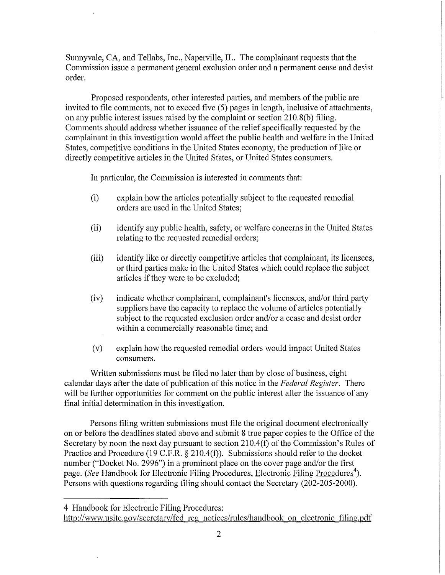Sunnyvale, CA, and Tellabs, Inc., Naperville, IL. The complainant requests that the Commission issue a permanent general exclusion order and a permanent cease and desist order.

Proposed respondents, other interested parties, and members of the public are invited to file comments, not to exceed five (5) pages in length, inclusive of attachments, on any public interest issues raised by the complaint or section 210.8(b) filing. Comments should address whether issuance of the relief specifically requested by the complainant in this investigation would affect the public health and welfare in the United States, competitive conditions in the United States economy, the production of like or directly competitive articles in the United States, or United States consumers.

In particular, the Commission is interested in comments that:

- (i) explain how the articles potentially subject to the requested remedial orders are used in the United States;
- (ii) identify any public health, safety, or welfare concerns in the United States relating to the requested remedial orders;
- (iii) identify like or directly competitive articles that complainant, its licensees, or third parties make in the United States which could replace the subject articles if they were to be excluded;
- (iv) indicate whether complainant, complainant's licensees, and/or third party suppliers have the capacity to replace the volume of articles potentially subject to the requested exclusion order and/or a cease and desist order within a commercially reasonable time; and
- (v) explain how the requested remedial orders would impact United States consumers.

Written submissions must be filed no later than by close of business, eight calendar days after the date of publication of this notice in the *Federal Register.* There will be further opportunities for comment on the public interest after the issuance of any final initial determination in this investigation.

Persons filing written submissions must file the original document electronically on or before the deadlines stated above and submit 8 true paper copies to the Office of the Secretary by noon the next day pursuant to section 210.4(f) of the Commission's Rules of Practice and Procedure (19 C.F.R. § 210.4(f)). Submissions should refer to the docket number ("Docket No. 2996") in a prominent place on the cover page and/or the first page. (See Handbook for Electronic Filing Procedures, Electronic Filing Procedures<sup>4</sup>). Persons with questions regarding filing should contact the Secretary (202-205-2000).

http://www.usitc.gov/secretary/fed regnotices/rules/handbook on electronic filing.pdf

<sup>4</sup> Handbook for Electronic Filing Procedures: